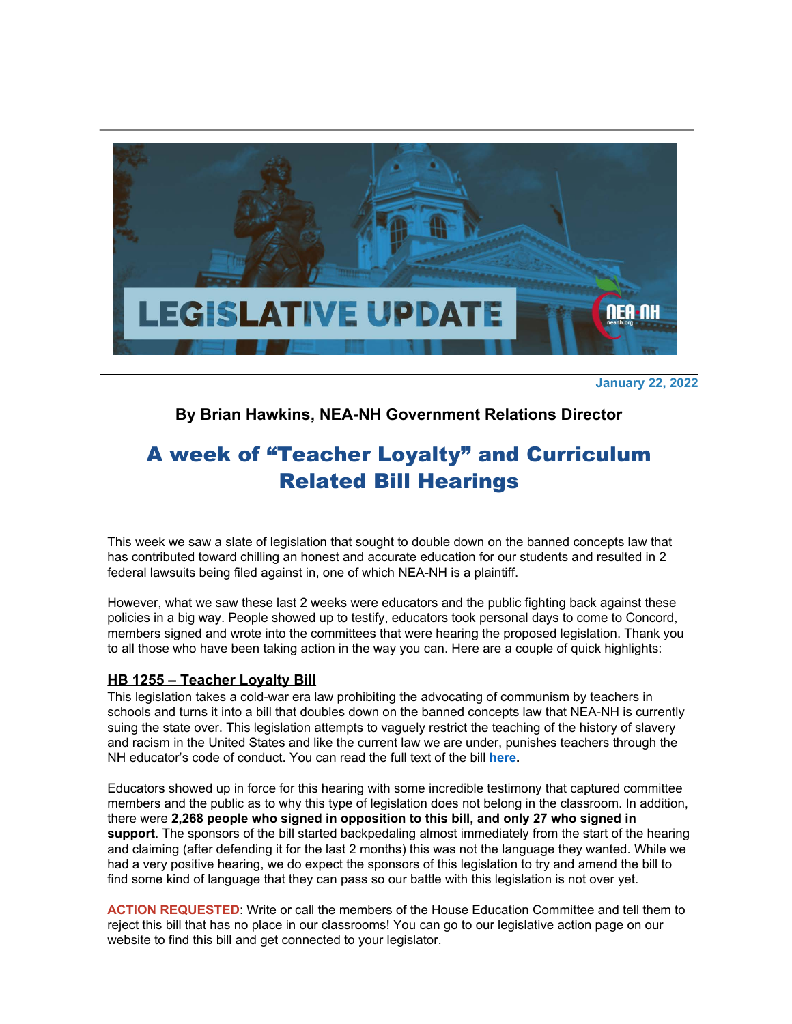

**January 22, 2022**

## **By Brian Hawkins, NEA-NH Government Relations Director**

# A week of "Teacher Loyalty" and Curriculum Related Bill Hearings

This week we saw a slate of legislation that sought to double down on the banned concepts law that has contributed toward chilling an honest and accurate education for our students and resulted in 2 federal lawsuits being filed against in, one of which NEA-NH is a plaintiff.

However, what we saw these last 2 weeks were educators and the public fighting back against these policies in a big way. People showed up to testify, educators took personal days to come to Concord, members signed and wrote into the committees that were hearing the proposed legislation. Thank you to all those who have been taking action in the way you can. Here are a couple of quick highlights:

### **HB 1255 – Teacher Loyalty Bill**

This legislation takes a cold-war era law prohibiting the advocating of communism by teachers in schools and turns it into a bill that doubles down on the banned concepts law that NEA-NH is currently suing the state over. This legislation attempts to vaguely restrict the teaching of the history of slavery and racism in the United States and like the current law we are under, punishes teachers through the NH educator's code of conduct. You can read the full text of the bill **[here](http://click.email.nea.org/?qs=d0d8eb712242064225a5d8bd273402570fcb9fddf66801a1241e349e03f3f0d40ed0b76549cb8328cc03536d131d12a6b73cf8ad4e179aec).**

Educators showed up in force for this hearing with some incredible testimony that captured committee members and the public as to why this type of legislation does not belong in the classroom. In addition, there were **2,268 people who signed in opposition to this bill, and only 27 who signed in support**. The sponsors of the bill started backpedaling almost immediately from the start of the hearing and claiming (after defending it for the last 2 months) this was not the language they wanted. While we had a very positive hearing, we do expect the sponsors of this legislation to try and amend the bill to find some kind of language that they can pass so our battle with this legislation is not over yet.

**ACTION REQUESTED**: Write or call the members of the House Education Committee and tell them to reject this bill that has no place in our classrooms! You can go to our legislative action page on our website to find this bill and get connected to your legislator.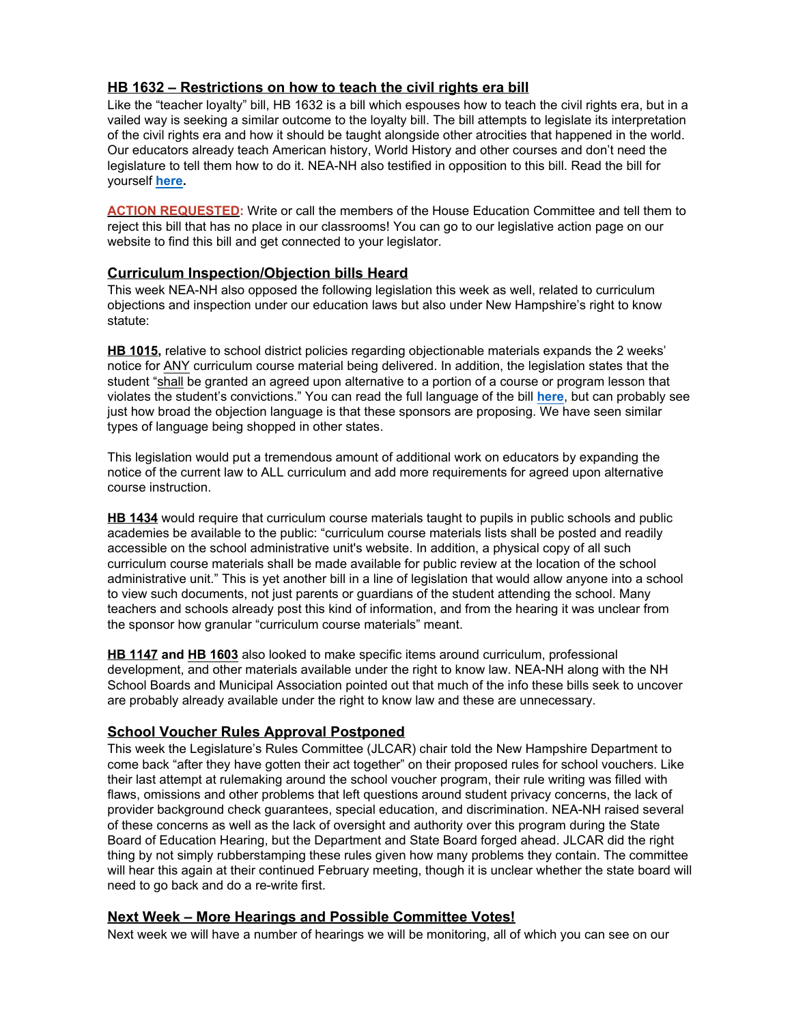## **HB 1632 – Restrictions on how to teach the civil rights era bill**

Like the "teacher loyalty" bill, HB 1632 is a bill which espouses how to teach the civil rights era, but in a vailed way is seeking a similar outcome to the loyalty bill. The bill attempts to legislate its interpretation of the civil rights era and how it should be taught alongside other atrocities that happened in the world. Our educators already teach American history, World History and other courses and don't need the legislature to tell them how to do it. NEA-NH also testified in opposition to this bill. Read the bill for yourself **[here](http://click.email.nea.org/?qs=d0d8eb71224206429528f05c2679a390dbda291f797f22eb595f9a42f3994086d04d7fcc3d156bf678718e2a6ca7474c90c28d9608a4a0c4).**

**ACTION REQUESTED:** Write or call the members of the House Education Committee and tell them to reject this bill that has no place in our classrooms! You can go to our legislative action page on our website to find this bill and get connected to your legislator.

### **Curriculum Inspection/Objection bills Heard**

This week NEA-NH also opposed the following legislation this week as well, related to curriculum objections and inspection under our education laws but also under New Hampshire's right to know statute:

**HB 1015,** relative to school district policies regarding objectionable materials expands the 2 weeks' notice for ANY curriculum course material being delivered. In addition, the legislation states that the student "shall be granted an agreed upon alternative to a portion of a course or program lesson that violates the student's convictions." You can read the full language of the bill **[here](http://click.email.nea.org/?qs=d0d8eb71224206420157f44c3db0fe43f48a20fb57529b2b6ff4b5aef6a644403b6c1d38cc7d6c01008a44442ebf465d7adc34cab418b5e0)**, but can probably see just how broad the objection language is that these sponsors are proposing. We have seen similar types of language being shopped in other states.

This legislation would put a tremendous amount of additional work on educators by expanding the notice of the current law to ALL curriculum and add more requirements for agreed upon alternative course instruction.

**HB 1434** would require that curriculum course materials taught to pupils in public schools and public academies be available to the public: "curriculum course materials lists shall be posted and readily accessible on the school administrative unit's website. In addition, a physical copy of all such curriculum course materials shall be made available for public review at the location of the school administrative unit." This is yet another bill in a line of legislation that would allow anyone into a school to view such documents, not just parents or guardians of the student attending the school. Many teachers and schools already post this kind of information, and from the hearing it was unclear from the sponsor how granular "curriculum course materials" meant.

**HB 1147 and HB 1603** also looked to make specific items around curriculum, professional development, and other materials available under the right to know law. NEA-NH along with the NH School Boards and Municipal Association pointed out that much of the info these bills seek to uncover are probably already available under the right to know law and these are unnecessary.

### **School Voucher Rules Approval Postponed**

This week the Legislature's Rules Committee (JLCAR) chair told the New Hampshire Department to come back "after they have gotten their act together" on their proposed rules for school vouchers. Like their last attempt at rulemaking around the school voucher program, their rule writing was filled with flaws, omissions and other problems that left questions around student privacy concerns, the lack of provider background check guarantees, special education, and discrimination. NEA-NH raised several of these concerns as well as the lack of oversight and authority over this program during the State Board of Education Hearing, but the Department and State Board forged ahead. JLCAR did the right thing by not simply rubberstamping these rules given how many problems they contain. The committee will hear this again at their continued February meeting, though it is unclear whether the state board will need to go back and do a re-write first.

### **Next Week – More Hearings and Possible Committee Votes!**

Next week we will have a number of hearings we will be monitoring, all of which you can see on our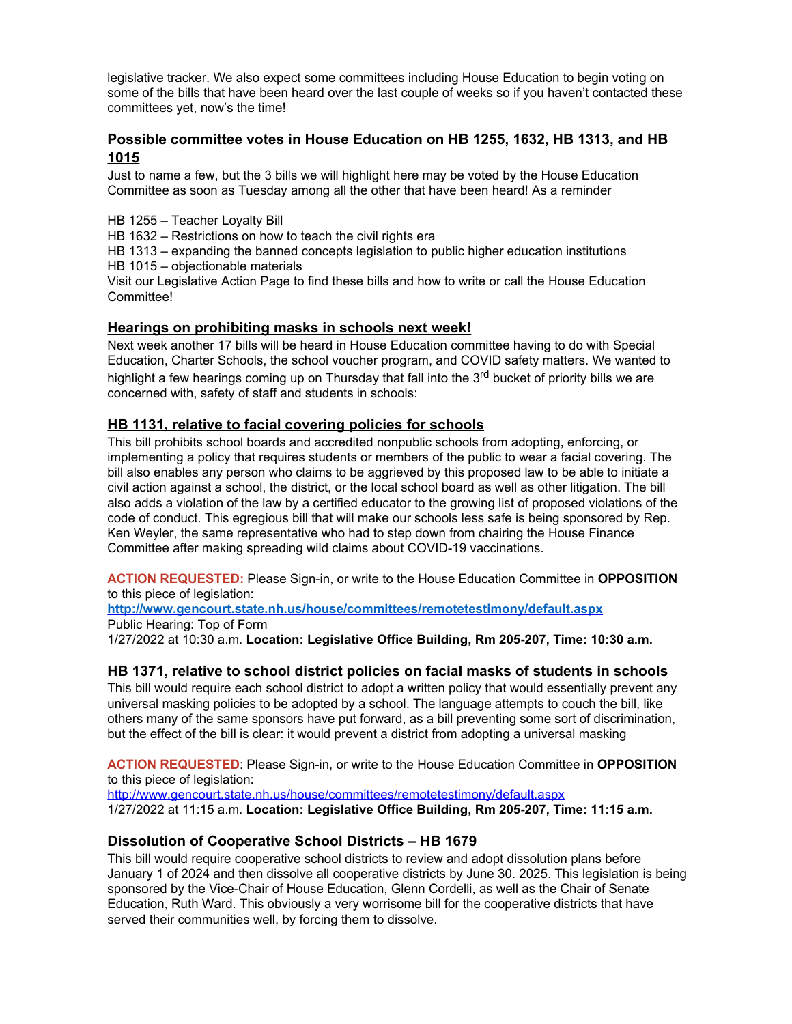legislative tracker. We also expect some committees including House Education to begin voting on some of the bills that have been heard over the last couple of weeks so if you haven't contacted these committees yet, now's the time!

## **Possible committee votes in House Education on HB 1255, 1632, HB 1313, and HB 1015**

Just to name a few, but the 3 bills we will highlight here may be voted by the House Education Committee as soon as Tuesday among all the other that have been heard! As a reminder

HB 1255 – Teacher Loyalty Bill

HB 1632 – Restrictions on how to teach the civil rights era

HB 1313 – expanding the banned concepts legislation to public higher education institutions HB 1015 – objectionable materials

Visit our Legislative Action Page to find these bills and how to write or call the House Education Committee!

## **Hearings on prohibiting masks in schools next week!**

Next week another 17 bills will be heard in House Education committee having to do with Special Education, Charter Schools, the school voucher program, and COVID safety matters. We wanted to highlight a few hearings coming up on Thursday that fall into the 3<sup>rd</sup> bucket of priority bills we are concerned with, safety of staff and students in schools:

## **HB 1131, relative to facial covering policies for schools**

This bill prohibits school boards and accredited nonpublic schools from adopting, enforcing, or implementing a policy that requires students or members of the public to wear a facial covering. The bill also enables any person who claims to be aggrieved by this proposed law to be able to initiate a civil action against a school, the district, or the local school board as well as other litigation. The bill also adds a violation of the law by a certified educator to the growing list of proposed violations of the code of conduct. This egregious bill that will make our schools less safe is being sponsored by Rep. Ken Weyler, the same representative who had to step down from chairing the House Finance Committee after making spreading wild claims about COVID-19 vaccinations.

**ACTION REQUESTED:** Please Sign-in, or write to the House Education Committee in **OPPOSITION** to this piece of legislation:

**[http://www.gencourt.state.nh.us/house/committees/remotetestimony/default.aspx](http://click.email.nea.org/?qs=c1abf79d71b1e314f857212e32191b5c1021114e7364e9e4c824d29584cf56704e694bd291552ccf7f5860fcf7bb0653a76fd3e0441b7f93)** Public Hearing: Top of Form

1/27/2022 at 10:30 a.m. **Location: Legislative Office Building, Rm 205-207, Time: 10:30 a.m.**

### **HB 1371, relative to school district policies on facial masks of students in schools**

This bill would require each school district to adopt a written policy that would essentially prevent any universal masking policies to be adopted by a school. The language attempts to couch the bill, like others many of the same sponsors have put forward, as a bill preventing some sort of discrimination, but the effect of the bill is clear: it would prevent a district from adopting a universal masking

**ACTION REQUESTED**: Please Sign-in, or write to the House Education Committee in **OPPOSITION** to this piece of legislation:

<http://www.gencourt.state.nh.us/house/committees/remotetestimony/default.aspx> 1/27/2022 at 11:15 a.m. **Location: Legislative Office Building, Rm 205-207, Time: 11:15 a.m.**

## **Dissolution of Cooperative School Districts – HB 1679**

This bill would require cooperative school districts to review and adopt dissolution plans before January 1 of 2024 and then dissolve all cooperative districts by June 30. 2025. This legislation is being sponsored by the Vice-Chair of House Education, Glenn Cordelli, as well as the Chair of Senate Education, Ruth Ward. This obviously a very worrisome bill for the cooperative districts that have served their communities well, by forcing them to dissolve.